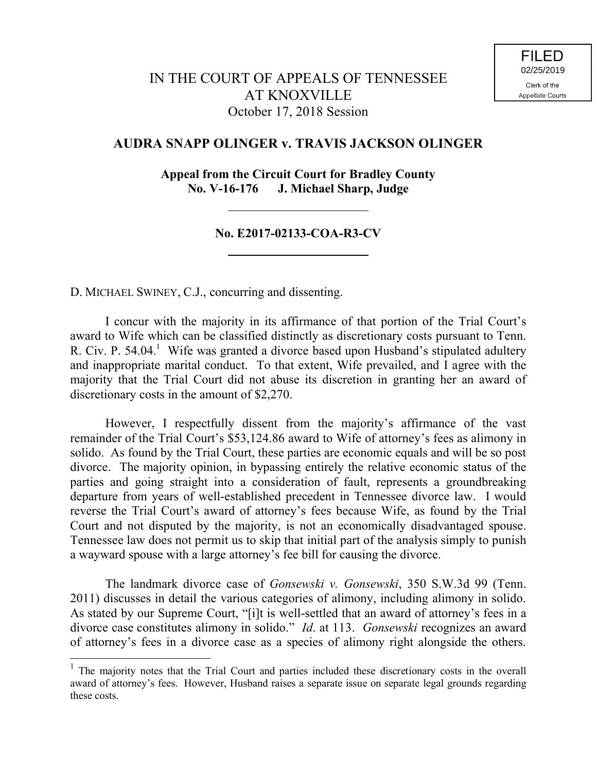## **AUDRA SNAPP OLINGER v. TRAVIS JACKSON OLINGER**

**Appeal from the Circuit Court for Bradley County No. V-16-176 J. Michael Sharp, Judge**

## **No. E2017-02133-COA-R3-CV**

D. MICHAEL SWINEY, C.J., concurring and dissenting.

l

I concur with the majority in its affirmance of that portion of the Trial Court's award to Wife which can be classified distinctly as discretionary costs pursuant to Tenn. R. Civ. P. 54.04.<sup>1</sup> Wife was granted a divorce based upon Husband's stipulated adultery and inappropriate marital conduct. To that extent, Wife prevailed, and I agree with the majority that the Trial Court did not abuse its discretion in granting her an award of discretionary costs in the amount of \$2,270.

However, I respectfully dissent from the majority's affirmance of the vast remainder of the Trial Court's \$53,124.86 award to Wife of attorney's fees as alimony in solido. As found by the Trial Court, these parties are economic equals and will be so post divorce. The majority opinion, in bypassing entirely the relative economic status of the parties and going straight into a consideration of fault, represents a groundbreaking departure from years of well-established precedent in Tennessee divorce law. I would reverse the Trial Court's award of attorney's fees because Wife, as found by the Trial Court and not disputed by the majority, is not an economically disadvantaged spouse. Tennessee law does not permit us to skip that initial part of the analysis simply to punish a wayward spouse with a large attorney's fee bill for causing the divorce.

The landmark divorce case of *Gonsewski v. Gonsewski*, 350 S.W.3d 99 (Tenn. 2011) discusses in detail the various categories of alimony, including alimony in solido. As stated by our Supreme Court, "[i]t is well-settled that an award of attorney's fees in a divorce case constitutes alimony in solido." *Id*. at 113. *Gonsewski* recognizes an award of attorney's fees in a divorce case as a species of alimony right alongside the others.

<sup>&</sup>lt;sup>1</sup> The majority notes that the Trial Court and parties included these discretionary costs in the overall award of attorney's fees. However, Husband raises a separate issue on separate legal grounds regarding these costs.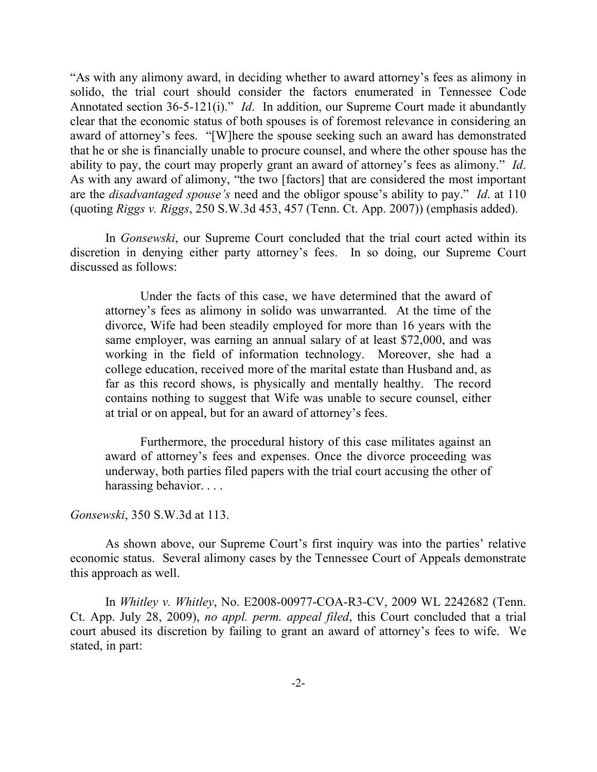"As with any alimony award, in deciding whether to award attorney's fees as alimony in solido, the trial court should consider the factors enumerated in Tennessee Code Annotated section 36-5-121(i)." *Id*. In addition, our Supreme Court made it abundantly clear that the economic status of both spouses is of foremost relevance in considering an award of attorney's fees. "[W]here the spouse seeking such an award has demonstrated that he or she is financially unable to procure counsel, and where the other spouse has the ability to pay, the court may properly grant an award of attorney's fees as alimony." *Id*. As with any award of alimony, "the two [factors] that are considered the most important are the *disadvantaged spouse's* need and the obligor spouse's ability to pay." *Id*. at 110 (quoting *Riggs v. Riggs*, 250 S.W.3d 453, 457 (Tenn. Ct. App. 2007)) (emphasis added).

In *Gonsewski*, our Supreme Court concluded that the trial court acted within its discretion in denying either party attorney's fees. In so doing, our Supreme Court discussed as follows:

Under the facts of this case, we have determined that the award of attorney's fees as alimony in solido was unwarranted. At the time of the divorce, Wife had been steadily employed for more than 16 years with the same employer, was earning an annual salary of at least \$72,000, and was working in the field of information technology. Moreover, she had a college education, received more of the marital estate than Husband and, as far as this record shows, is physically and mentally healthy. The record contains nothing to suggest that Wife was unable to secure counsel, either at trial or on appeal, but for an award of attorney's fees.

Furthermore, the procedural history of this case militates against an award of attorney's fees and expenses. Once the divorce proceeding was underway, both parties filed papers with the trial court accusing the other of harassing behavior...

## *Gonsewski*, 350 S.W.3d at 113.

As shown above, our Supreme Court's first inquiry was into the parties' relative economic status. Several alimony cases by the Tennessee Court of Appeals demonstrate this approach as well.

In *Whitley v. Whitley*, No. E2008-00977-COA-R3-CV, 2009 WL 2242682 (Tenn. Ct. App. July 28, 2009), *no appl. perm. appeal filed*, this Court concluded that a trial court abused its discretion by failing to grant an award of attorney's fees to wife. We stated, in part: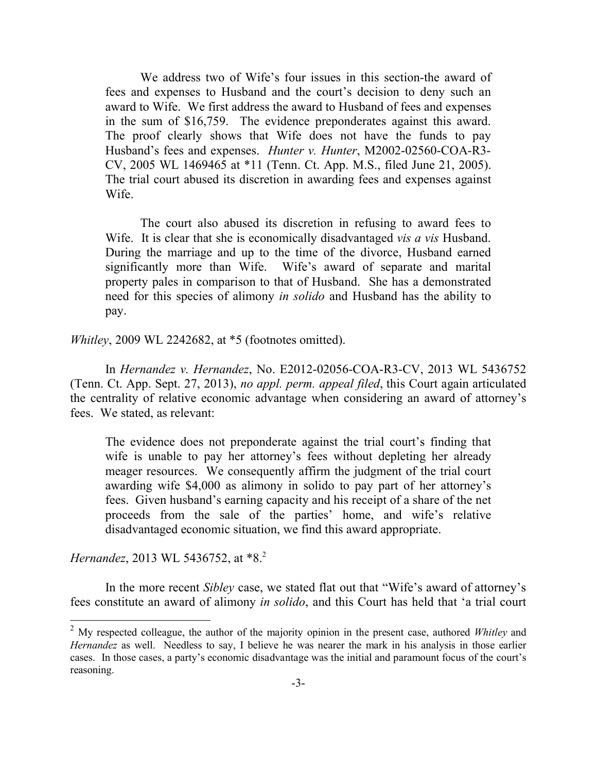We address two of Wife's four issues in this section-the award of fees and expenses to Husband and the court's decision to deny such an award to Wife. We first address the award to Husband of fees and expenses in the sum of \$16,759. The evidence preponderates against this award. The proof clearly shows that Wife does not have the funds to pay Husband's fees and expenses. *Hunter v. Hunter*, M2002-02560-COA-R3- CV, 2005 WL 1469465 at \*11 (Tenn. Ct. App. M.S., filed June 21, 2005). The trial court abused its discretion in awarding fees and expenses against Wife.

The court also abused its discretion in refusing to award fees to Wife. It is clear that she is economically disadvantaged *vis a vis* Husband. During the marriage and up to the time of the divorce, Husband earned significantly more than Wife. Wife's award of separate and marital property pales in comparison to that of Husband. She has a demonstrated need for this species of alimony *in solido* and Husband has the ability to pay.

*Whitley*, 2009 WL 2242682, at \*5 (footnotes omitted).

In *Hernandez v. Hernandez*, No. E2012-02056-COA-R3-CV, 2013 WL 5436752 (Tenn. Ct. App. Sept. 27, 2013), *no appl. perm. appeal filed*, this Court again articulated the centrality of relative economic advantage when considering an award of attorney's fees. We stated, as relevant:

The evidence does not preponderate against the trial court's finding that wife is unable to pay her attorney's fees without depleting her already meager resources. We consequently affirm the judgment of the trial court awarding wife \$4,000 as alimony in solido to pay part of her attorney's fees. Given husband's earning capacity and his receipt of a share of the net proceeds from the sale of the parties' home, and wife's relative disadvantaged economic situation, we find this award appropriate.

*Hernandez*, 2013 WL 5436752, at \*8.<sup>2</sup>

l

In the more recent *Sibley* case, we stated flat out that "Wife's award of attorney's fees constitute an award of alimony *in solido*, and this Court has held that 'a trial court

<sup>2</sup> My respected colleague, the author of the majority opinion in the present case, authored *Whitley* and *Hernandez* as well. Needless to say, I believe he was nearer the mark in his analysis in those earlier cases. In those cases, a party's economic disadvantage was the initial and paramount focus of the court's reasoning.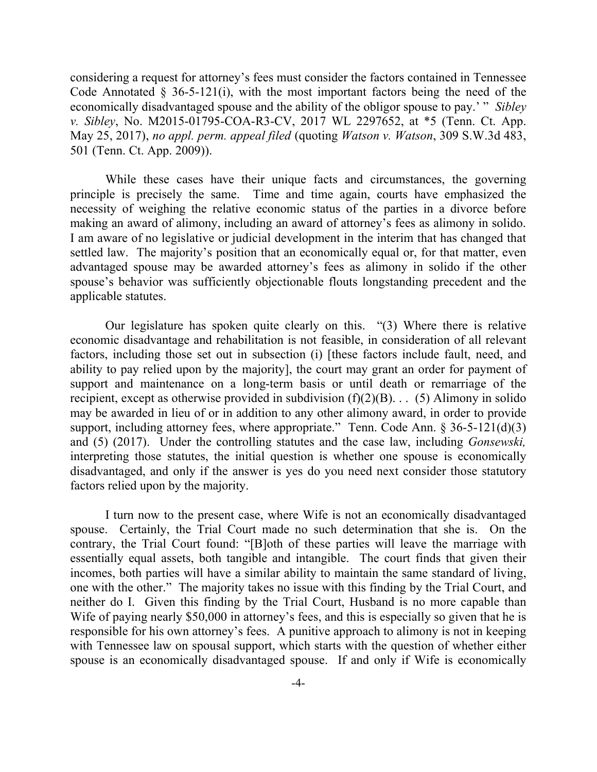considering a request for attorney's fees must consider the factors contained in Tennessee Code Annotated  $\S$  36-5-121(i), with the most important factors being the need of the economically disadvantaged spouse and the ability of the obligor spouse to pay.' " *Sibley v. Sibley*, No. M2015-01795-COA-R3-CV, 2017 WL 2297652, at \*5 (Tenn. Ct. App. May 25, 2017), *no appl. perm. appeal filed* (quoting *Watson v. Watson*, 309 S.W.3d 483, 501 (Tenn. Ct. App. 2009)).

While these cases have their unique facts and circumstances, the governing principle is precisely the same. Time and time again, courts have emphasized the necessity of weighing the relative economic status of the parties in a divorce before making an award of alimony, including an award of attorney's fees as alimony in solido. I am aware of no legislative or judicial development in the interim that has changed that settled law. The majority's position that an economically equal or, for that matter, even advantaged spouse may be awarded attorney's fees as alimony in solido if the other spouse's behavior was sufficiently objectionable flouts longstanding precedent and the applicable statutes.

Our legislature has spoken quite clearly on this. "(3) Where there is relative economic disadvantage and rehabilitation is not feasible, in consideration of all relevant factors, including those set out in subsection (i) [these factors include fault, need, and ability to pay relied upon by the majority], the court may grant an order for payment of support and maintenance on a long-term basis or until death or remarriage of the recipient, except as otherwise provided in subdivision  $(f)(2)(B)$ . . . (5) Alimony in solido may be awarded in lieu of or in addition to any other alimony award, in order to provide support, including attorney fees, where appropriate." Tenn. Code Ann.  $\S 36-5-121(d)(3)$ and (5) (2017). Under the controlling statutes and the case law, including *Gonsewski,* interpreting those statutes, the initial question is whether one spouse is economically disadvantaged, and only if the answer is yes do you need next consider those statutory factors relied upon by the majority.

I turn now to the present case, where Wife is not an economically disadvantaged spouse. Certainly, the Trial Court made no such determination that she is. On the contrary, the Trial Court found: "[B]oth of these parties will leave the marriage with essentially equal assets, both tangible and intangible. The court finds that given their incomes, both parties will have a similar ability to maintain the same standard of living, one with the other." The majority takes no issue with this finding by the Trial Court, and neither do I. Given this finding by the Trial Court, Husband is no more capable than Wife of paying nearly \$50,000 in attorney's fees, and this is especially so given that he is responsible for his own attorney's fees. A punitive approach to alimony is not in keeping with Tennessee law on spousal support, which starts with the question of whether either spouse is an economically disadvantaged spouse. If and only if Wife is economically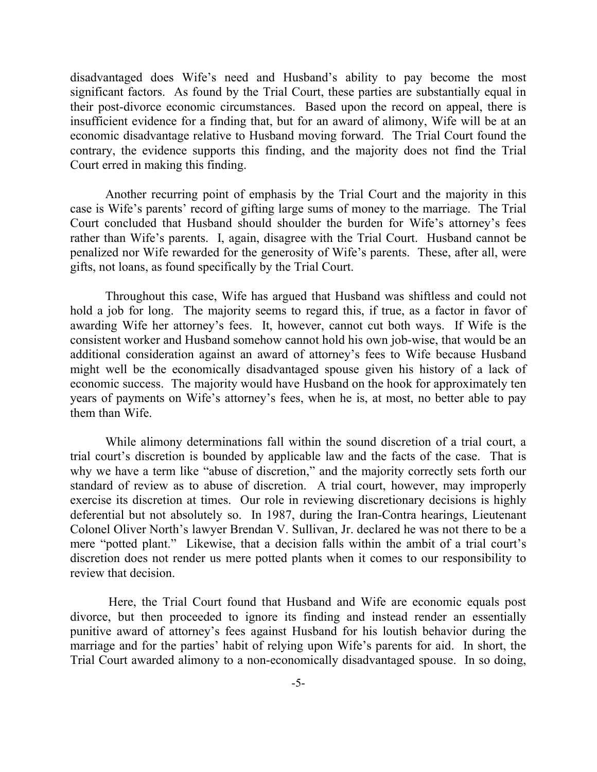disadvantaged does Wife's need and Husband's ability to pay become the most significant factors. As found by the Trial Court, these parties are substantially equal in their post-divorce economic circumstances. Based upon the record on appeal, there is insufficient evidence for a finding that, but for an award of alimony, Wife will be at an economic disadvantage relative to Husband moving forward. The Trial Court found the contrary, the evidence supports this finding, and the majority does not find the Trial Court erred in making this finding.

Another recurring point of emphasis by the Trial Court and the majority in this case is Wife's parents' record of gifting large sums of money to the marriage. The Trial Court concluded that Husband should shoulder the burden for Wife's attorney's fees rather than Wife's parents. I, again, disagree with the Trial Court. Husband cannot be penalized nor Wife rewarded for the generosity of Wife's parents. These, after all, were gifts, not loans, as found specifically by the Trial Court.

Throughout this case, Wife has argued that Husband was shiftless and could not hold a job for long. The majority seems to regard this, if true, as a factor in favor of awarding Wife her attorney's fees. It, however, cannot cut both ways. If Wife is the consistent worker and Husband somehow cannot hold his own job-wise, that would be an additional consideration against an award of attorney's fees to Wife because Husband might well be the economically disadvantaged spouse given his history of a lack of economic success. The majority would have Husband on the hook for approximately ten years of payments on Wife's attorney's fees, when he is, at most, no better able to pay them than Wife.

While alimony determinations fall within the sound discretion of a trial court, a trial court's discretion is bounded by applicable law and the facts of the case. That is why we have a term like "abuse of discretion," and the majority correctly sets forth our standard of review as to abuse of discretion. A trial court, however, may improperly exercise its discretion at times. Our role in reviewing discretionary decisions is highly deferential but not absolutely so. In 1987, during the Iran-Contra hearings, Lieutenant Colonel Oliver North's lawyer Brendan V. Sullivan, Jr. declared he was not there to be a mere "potted plant." Likewise, that a decision falls within the ambit of a trial court's discretion does not render us mere potted plants when it comes to our responsibility to review that decision.

Here, the Trial Court found that Husband and Wife are economic equals post divorce, but then proceeded to ignore its finding and instead render an essentially punitive award of attorney's fees against Husband for his loutish behavior during the marriage and for the parties' habit of relying upon Wife's parents for aid. In short, the Trial Court awarded alimony to a non-economically disadvantaged spouse. In so doing,